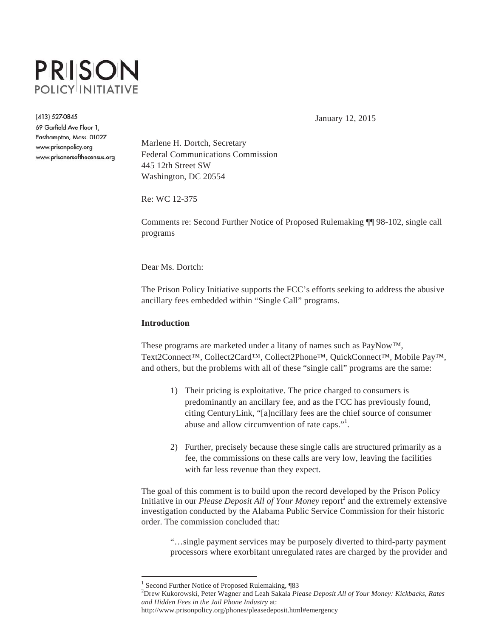

(413) 527-0845

69 Garfield Ave Floor 1, Easthampton, Mass. 01027 www.prisonpolicy.org www.prisonersofthecensus.org January 12, 2015

Marlene H. Dortch, Secretary Federal Communications Commission 445 12th Street SW Washington, DC 20554

Re: WC 12-375

Comments re: Second Further Notice of Proposed Rulemaking ¶¶ 98-102, single call programs

Dear Ms. Dortch:

The Prison Policy Initiative supports the FCC's efforts seeking to address the abusive ancillary fees embedded within "Single Call" programs.

## **Introduction**

 $\overline{a}$ 

These programs are marketed under a litany of names such as PayNow™, Text2Connect™, Collect2Card™, Collect2Phone™, QuickConnect™, Mobile Pay™, and others, but the problems with all of these "single call" programs are the same:

- 1) Their pricing is exploitative. The price charged to consumers is predominantly an ancillary fee, and as the FCC has previously found, citing CenturyLink, "[a]ncillary fees are the chief source of consumer abuse and allow circumvention of rate caps."<sup>1</sup>.
- 2) Further, precisely because these single calls are structured primarily as a fee, the commissions on these calls are very low, leaving the facilities with far less revenue than they expect.

The goal of this comment is to build upon the record developed by the Prison Policy Initiative in our *Please Deposit All of Your Money* report<sup>2</sup> and the extremely extensive investigation conducted by the Alabama Public Service Commission for their historic order. The commission concluded that:

"…single payment services may be purposely diverted to third-party payment processors where exorbitant unregulated rates are charged by the provider and

http://www.prisonpolicy.org/phones/pleasedeposit.html#emergency

<sup>&</sup>lt;sup>1</sup> Second Further Notice of Proposed Rulemaking, ¶83

<sup>2</sup> Drew Kukorowski, Peter Wagner and Leah Sakala *Please Deposit All of Your Money: Kickbacks, Rates and Hidden Fees in the Jail Phone Industry* at: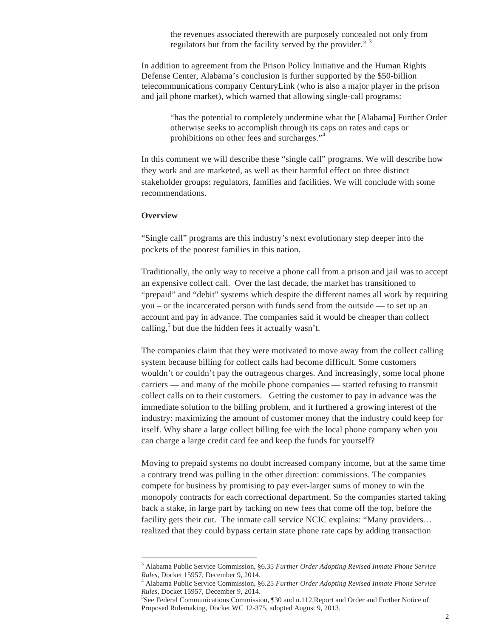the revenues associated therewith are purposely concealed not only from regulators but from the facility served by the provider."<sup>3</sup>

In addition to agreement from the Prison Policy Initiative and the Human Rights Defense Center, Alabama's conclusion is further supported by the \$50-billion telecommunications company CenturyLink (who is also a major player in the prison and jail phone market), which warned that allowing single-call programs:

"has the potential to completely undermine what the [Alabama] Further Order otherwise seeks to accomplish through its caps on rates and caps or prohibitions on other fees and surcharges."<sup>4</sup>

In this comment we will describe these "single call" programs. We will describe how they work and are marketed, as well as their harmful effect on three distinct stakeholder groups: regulators, families and facilities. We will conclude with some recommendations.

### **Overview**

 $\overline{a}$ 

"Single call" programs are this industry's next evolutionary step deeper into the pockets of the poorest families in this nation.

Traditionally, the only way to receive a phone call from a prison and jail was to accept an expensive collect call. Over the last decade, the market has transitioned to "prepaid" and "debit" systems which despite the different names all work by requiring you – or the incarcerated person with funds send from the outside — to set up an account and pay in advance. The companies said it would be cheaper than collect calling, $5$  but due the hidden fees it actually wasn't.

The companies claim that they were motivated to move away from the collect calling system because billing for collect calls had become difficult. Some customers wouldn't or couldn't pay the outrageous charges. And increasingly, some local phone carriers — and many of the mobile phone companies — started refusing to transmit collect calls on to their customers. Getting the customer to pay in advance was the immediate solution to the billing problem, and it furthered a growing interest of the industry: maximizing the amount of customer money that the industry could keep for itself. Why share a large collect billing fee with the local phone company when you can charge a large credit card fee and keep the funds for yourself?

Moving to prepaid systems no doubt increased company income, but at the same time a contrary trend was pulling in the other direction: commissions. The companies compete for business by promising to pay ever-larger sums of money to win the monopoly contracts for each correctional department. So the companies started taking back a stake, in large part by tacking on new fees that come off the top, before the facility gets their cut. The inmate call service NCIC explains: "Many providers... realized that they could bypass certain state phone rate caps by adding transaction

<sup>3</sup> Alabama Public Service Commission, §6.35 *Further Order Adopting Revised Inmate Phone Service Rules*, Docket 15957, December 9, 2014.

Alabama Public Service Commission, §6.25 *Further Order Adopting Revised Inmate Phone Service Rules*, Docket 15957, December 9, 2014.

<sup>&</sup>lt;sup>5</sup>See Federal Communications Commission, ¶30 and n.112, Report and Order and Further Notice of Proposed Rulemaking, Docket WC 12-375, adopted August 9, 2013.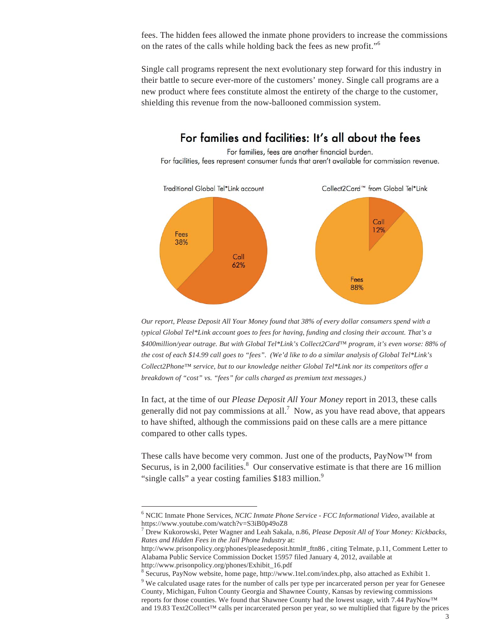fees. The hidden fees allowed the inmate phone providers to increase the commissions on the rates of the calls while holding back the fees as new profit."<sup>6</sup>

Single call programs represent the next evolutionary step forward for this industry in their battle to secure ever-more of the customers' money. Single call programs are a new product where fees constitute almost the entirety of the charge to the customer, shielding this revenue from the now-ballooned commission system.

# For families and facilities: It's all about the fees For families, fees are another financial burden. For facilities, fees represent consumer funds that aren't available for commission revenue.



*Our report, Please Deposit All Your Money found that 38% of every dollar consumers spend with a typical Global Tel\*Link account goes to fees for having, funding and closing their account. That's a \$400million/year outrage. But with Global Tel\*Link's Collect2Card™ program, it's even worse: 88% of the cost of each \$14.99 call goes to "fees". (We'd like to do a similar analysis of Global Tel\*Link's Collect2Phone™ service, but to our knowledge neither Global Tel\*Link nor its competitors offer a breakdown of "cost" vs. "fees" for calls charged as premium text messages.)* 

In fact, at the time of our *Please Deposit All Your Money* report in 2013, these calls generally did not pay commissions at all.<sup>7</sup> Now, as you have read above, that appears to have shifted, although the commissions paid on these calls are a mere pittance compared to other calls types.

These calls have become very common. Just one of the products, PayNow™ from Securus, is in 2,000 facilities.<sup>8</sup> Our conservative estimate is that there are 16 million "single calls" a year costing families \$183 million.<sup>9</sup>

<sup>6</sup> NCIC Inmate Phone Services, *NCIC Inmate Phone Service - FCC Informational Video*, available at https://www.youtube.com/watch?v=S3iB0p49oZ8

<sup>7</sup> Drew Kukorowski, Peter Wagner and Leah Sakala, n.86, *Please Deposit All of Your Money: Kickbacks, Rates and Hidden Fees in the Jail Phone Industry* at:

http://www.prisonpolicy.org/phones/pleasedeposit.html#\_ftn86 , citing Telmate, p.11, Comment Letter to Alabama Public Service Commission Docket 15957 filed January 4, 2012, available at http://www.prisonpolicy.org/phones/Exhibit\_16.pdf

<sup>&</sup>lt;sup>8</sup> Securus, PayNow website, home page, http://www.1tel.com/index.php, also attached as Exhibit 1.

<sup>&</sup>lt;sup>9</sup> We calculated usage rates for the number of calls per type per incarcerated person per year for Genesee County, Michigan, Fulton County Georgia and Shawnee County, Kansas by reviewing commissions reports for those counties. We found that Shawnee County had the lowest usage, with 7.44 PayNow™ and 19.83 Text2Collect™ calls per incarcerated person per year, so we multiplied that figure by the prices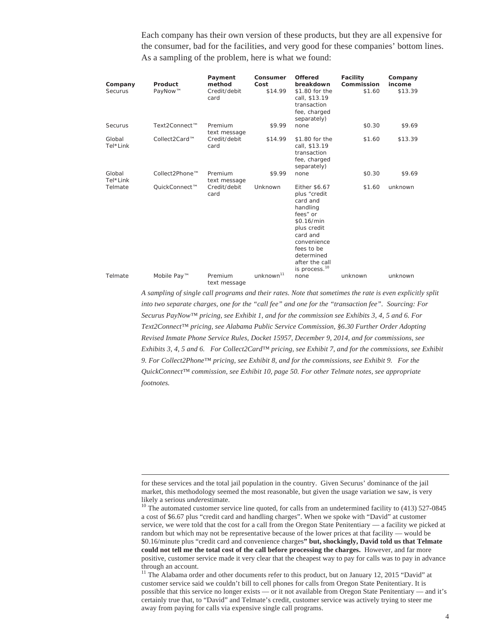Each company has their own version of these products, but they are all expensive for the consumer, bad for the facilities, and very good for these companies' bottom lines. As a sampling of the problem, here is what we found:

| Company<br>Securus | Product<br>PayNow™ | Payment<br>method<br>Credit/debit<br>card | Consumer<br>Cost<br>\$14.99 | <b>Offered</b><br>breakdown<br>\$1.80 for the<br>call, \$13.19<br>transaction<br>fee, charged<br>separately)                                                                                         | <b>Facility</b><br>Commission<br>\$1.60 | Company<br>income<br>\$13.39 |
|--------------------|--------------------|-------------------------------------------|-----------------------------|------------------------------------------------------------------------------------------------------------------------------------------------------------------------------------------------------|-----------------------------------------|------------------------------|
| Securus            | Text2Connect™      | Premium<br>text message                   | \$9.99                      | none                                                                                                                                                                                                 | \$0.30                                  | \$9.69                       |
| Global<br>Tel*Link | Collect2Card™      | Credit/debit<br>card                      | \$14.99                     | \$1.80 for the<br>call, \$13.19<br>transaction<br>fee, charged<br>separately)                                                                                                                        | \$1.60                                  | \$13.39                      |
| Global<br>Tel*Link | Collect2Phone™     | Premium<br>text message                   | \$9.99                      | none                                                                                                                                                                                                 | \$0.30                                  | \$9.69                       |
| Telmate            | OuickConnect™      | Credit/debit<br>card                      | Unknown                     | Either \$6.67<br>plus "credit<br>card and<br>handling<br>fees" or<br>\$0.16/min<br>plus credit<br>card and<br>convenience<br>fees to be<br>determined<br>after the call<br>is process. <sup>10</sup> | \$1.60                                  | unknown                      |
| Telmate            | Mobile Pay™        | Premium<br>text message                   | unknown <sup>11</sup>       | none                                                                                                                                                                                                 | unknown                                 | unknown                      |

*A sampling of single call programs and their rates. Note that sometimes the rate is even explicitly split into two separate charges, one for the "call fee" and one for the "transaction fee". Sourcing: For Securus PayNow™ pricing, see Exhibit 1, and for the commission see Exhibits 3, 4, 5 and 6. For Text2Connect™ pricing, see Alabama Public Service Commission, §6.30 Further Order Adopting Revised Inmate Phone Service Rules, Docket 15957, December 9, 2014, and for commissions, see Exhibits 3, 4, 5 and 6. For Collect2Card™ pricing, see Exhibit 7, and for the commissions, see Exhibit 9. For Collect2Phone™ pricing, see Exhibit 8, and for the commissions, see Exhibit 9. For the QuickConnect™ commission, see Exhibit 10, page 50. For other Telmate notes, see appropriate footnotes.*

for these services and the total jail population in the country. Given Securus' dominance of the jail market, this methodology seemed the most reasonable, but given the usage variation we saw, is very likely a serious *underestimate*.

<sup>&</sup>lt;sup>10</sup> The automated customer service line quoted, for calls from an undetermined facility to (413) 527-0845 a cost of \$6.67 plus "credit card and handling charges". When we spoke with "David" at customer service, we were told that the cost for a call from the Oregon State Penitentiary — a facility we picked at random but which may not be representative because of the lower prices at that facility — would be \$0.16/minute plus "credit card and convenience charges**" but, shockingly, David told us that Telmate could not tell me the total cost of the call before processing the charges.** However, and far more positive, customer service made it very clear that the cheapest way to pay for calls was to pay in advance through an account.

<sup>&</sup>lt;sup>11</sup> The Alabama order and other documents refer to this product, but on January 12, 2015 "David" at customer service said we couldn't bill to cell phones for calls from Oregon State Penitentiary. It is possible that this service no longer exists — or it not available from Oregon State Penitentiary — and it's certainly true that, to "David" and Telmate's credit, customer service was actively trying to steer me away from paying for calls via expensive single call programs.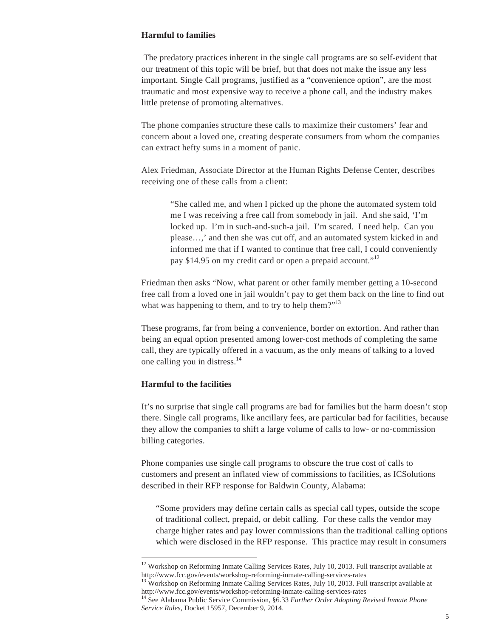## **Harmful to families**

 The predatory practices inherent in the single call programs are so self-evident that our treatment of this topic will be brief, but that does not make the issue any less important. Single Call programs, justified as a "convenience option", are the most traumatic and most expensive way to receive a phone call, and the industry makes little pretense of promoting alternatives.

The phone companies structure these calls to maximize their customers' fear and concern about a loved one, creating desperate consumers from whom the companies can extract hefty sums in a moment of panic.

Alex Friedman, Associate Director at the Human Rights Defense Center, describes receiving one of these calls from a client:

"She called me, and when I picked up the phone the automated system told me I was receiving a free call from somebody in jail. And she said, 'I'm locked up. I'm in such-and-such-a jail. I'm scared. I need help. Can you please…,' and then she was cut off, and an automated system kicked in and informed me that if I wanted to continue that free call, I could conveniently pay \$14.95 on my credit card or open a prepaid account."<sup>12</sup>

Friedman then asks "Now, what parent or other family member getting a 10-second free call from a loved one in jail wouldn't pay to get them back on the line to find out what was happening to them, and to try to help them?"<sup>13</sup>

These programs, far from being a convenience, border on extortion. And rather than being an equal option presented among lower-cost methods of completing the same call, they are typically offered in a vacuum, as the only means of talking to a loved one calling you in distress. $14$ 

## **Harmful to the facilities**

 $\overline{a}$ 

It's no surprise that single call programs are bad for families but the harm doesn't stop there. Single call programs, like ancillary fees, are particular bad for facilities, because they allow the companies to shift a large volume of calls to low- or no-commission billing categories.

Phone companies use single call programs to obscure the true cost of calls to customers and present an inflated view of commissions to facilities, as ICSolutions described in their RFP response for Baldwin County, Alabama:

"Some providers may define certain calls as special call types, outside the scope of traditional collect, prepaid, or debit calling. For these calls the vendor may charge higher rates and pay lower commissions than the traditional calling options which were disclosed in the RFP response. This practice may result in consumers

<sup>&</sup>lt;sup>12</sup> Workshop on Reforming Inmate Calling Services Rates, July 10, 2013. Full transcript available at http://www.fcc.gov/events/workshop-reforming-inmate-calling-services-rates 13 Workshop on Reforming Inmate Calling Services Rates, July 10, 2013. Full transcript available at

http://www.fcc.gov/events/workshop-reforming-inmate-calling-services-rates 14 See Alabama Public Service Commission, §6.33 *Further Order Adopting Revised Inmate Phone* 

*Service Rules*, Docket 15957, December 9, 2014.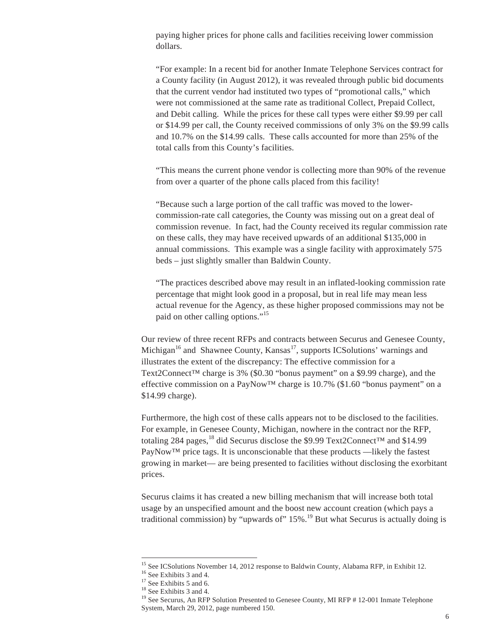paying higher prices for phone calls and facilities receiving lower commission dollars.

"For example: In a recent bid for another Inmate Telephone Services contract for a County facility (in August 2012), it was revealed through public bid documents that the current vendor had instituted two types of "promotional calls," which were not commissioned at the same rate as traditional Collect, Prepaid Collect, and Debit calling. While the prices for these call types were either \$9.99 per call or \$14.99 per call, the County received commissions of only 3% on the \$9.99 calls and 10.7% on the \$14.99 calls. These calls accounted for more than 25% of the total calls from this County's facilities.

"This means the current phone vendor is collecting more than 90% of the revenue from over a quarter of the phone calls placed from this facility!

"Because such a large portion of the call traffic was moved to the lowercommission-rate call categories, the County was missing out on a great deal of commission revenue. In fact, had the County received its regular commission rate on these calls, they may have received upwards of an additional \$135,000 in annual commissions. This example was a single facility with approximately 575 beds – just slightly smaller than Baldwin County.

"The practices described above may result in an inflated-looking commission rate percentage that might look good in a proposal, but in real life may mean less actual revenue for the Agency, as these higher proposed commissions may not be paid on other calling options."<sup>15</sup>

Our review of three recent RFPs and contracts between Securus and Genesee County, Michigan<sup>16</sup> and Shawnee County, Kansas<sup>17</sup>, supports ICS olutions' warnings and illustrates the extent of the discrepancy: The effective commission for a Text2Connect™ charge is 3% (\$0.30 "bonus payment" on a \$9.99 charge), and the effective commission on a PayNow<sup>TM</sup> charge is 10.7% (\$1.60 "bonus payment" on a \$14.99 charge).

Furthermore, the high cost of these calls appears not to be disclosed to the facilities. For example, in Genesee County, Michigan, nowhere in the contract nor the RFP, totaling 284 pages,<sup>18</sup> did Securus disclose the \$9.99 Text2Connect<sup>™</sup> and \$14.99 PayNow™ price tags. It is unconscionable that these products —likely the fastest growing in market— are being presented to facilities without disclosing the exorbitant prices.

Securus claims it has created a new billing mechanism that will increase both total usage by an unspecified amount and the boost new account creation (which pays a traditional commission) by "upwards of"  $15\%$ .<sup>19</sup> But what Securus is actually doing is

<sup>&</sup>lt;sup>15</sup> See ICSolutions November 14, 2012 response to Baldwin County, Alabama RFP, in Exhibit 12.<sup>16</sup> See Exhibits 3 and 4.

 $17$  See Exhibits 5 and 6.

<sup>18</sup> See Exhibits 3 and 4.

<sup>&</sup>lt;sup>19</sup> See Securus, An RFP Solution Presented to Genesee County, MI RFP # 12-001 Inmate Telephone System, March 29, 2012, page numbered 150.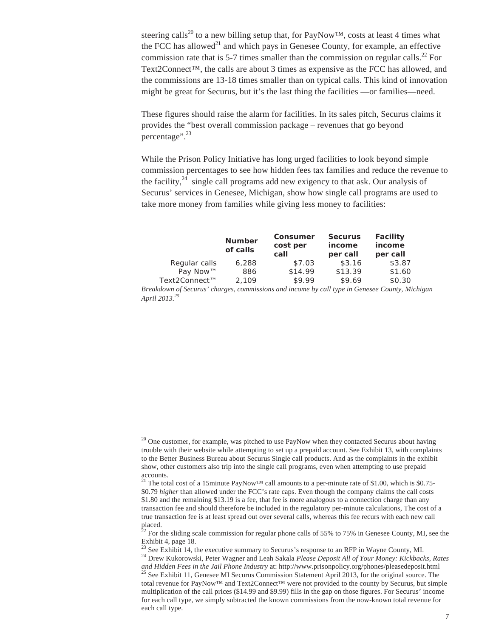steering calls<sup>20</sup> to a new billing setup that, for PayNow<sup>™</sup>, costs at least 4 times what the FCC has allowed<sup>21</sup> and which pays in Genesee County, for example, an effective commission rate that is 5-7 times smaller than the commission on regular calls.<sup>22</sup> For Text2Connect™, the calls are about 3 times as expensive as the FCC has allowed, and the commissions are 13-18 times smaller than on typical calls. This kind of innovation might be great for Securus, but it's the last thing the facilities —or families—need.

These figures should raise the alarm for facilities. In its sales pitch, Securus claims it provides the "best overall commission package – revenues that go beyond percentage".<sup>23</sup>

While the Prison Policy Initiative has long urged facilities to look beyond simple commission percentages to see how hidden fees tax families and reduce the revenue to the facility, $24$  single call programs add new exigency to that ask. Our analysis of Securus' services in Genesee, Michigan, show how single call programs are used to take more money from families while giving less money to facilities:

|                                                                                                | <b>Number</b><br>of calls | Consumer<br>cost per<br>call | <b>Securus</b><br>income<br>per call | <b>Facility</b><br>income<br>per call |  |  |  |  |
|------------------------------------------------------------------------------------------------|---------------------------|------------------------------|--------------------------------------|---------------------------------------|--|--|--|--|
| Regular calls                                                                                  | 6,288                     | \$7.03                       | \$3.16                               | \$3.87                                |  |  |  |  |
| Pay Now™                                                                                       | 886                       | \$14.99                      | \$13.39                              | \$1.60                                |  |  |  |  |
| Text2Connect™                                                                                  | 2.109                     | \$9.99                       | \$9.69                               | \$0.30                                |  |  |  |  |
| Breakdown of Securus' charges, commissions and income by call type in Genesee County, Michigan |                           |                              |                                      |                                       |  |  |  |  |
| April 2013. <sup>25</sup>                                                                      |                           |                              |                                      |                                       |  |  |  |  |

<sup>&</sup>lt;sup>20</sup> One customer, for example, was pitched to use PayNow when they contacted Securus about having trouble with their website while attempting to set up a prepaid account. See Exhibit 13, with complaints to the Better Business Bureau about Securus Single call products. And as the complaints in the exhibit show, other customers also trip into the single call programs, even when attempting to use prepaid accounts.

<sup>&</sup>lt;sup>21</sup> The total cost of a 15minute PayNow<sup>TM</sup> call amounts to a per-minute rate of \$1.00, which is \$0.75-\$0.79 *higher* than allowed under the FCC's rate caps. Even though the company claims the call costs \$1.80 and the remaining \$13.19 is a fee, that fee is more analogous to a connection charge than any transaction fee and should therefore be included in the regulatory per-minute calculations, The cost of a true transaction fee is at least spread out over several calls, whereas this fee recurs with each new call placed.

 $^{22}$  For the sliding scale commission for regular phone calls of 55% to 75% in Genesee County, MI, see the Exhibit 4, page 18.<br><sup>23</sup> See Exhibit 14, the executive summary to Securus's response to an RFP in Wayne County, MI.

<sup>&</sup>lt;sup>24</sup> Drew Kukorowski, Peter Wagner and Leah Sakala Please Deposit All of Your Money: Kickbacks, Rates *and Hidden Fees in the Jail Phone Industry* at: http://www.prisonpolicy.org/phones/pleasedeposit.html 25 See Exhibit 11, Genesee MI Securus Commission Statement April 2013, for the original source. The

total revenue for PayNow™ and Text2Connect™ were not provided to the county by Securus, but simple multiplication of the call prices (\$14.99 and \$9.99) fills in the gap on those figures. For Securus' income for each call type, we simply subtracted the known commissions from the now-known total revenue for each call type.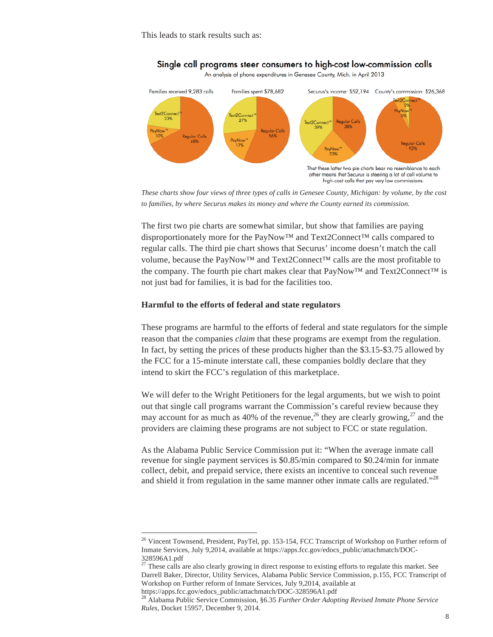

## Single call programs steer consumers to high-cost low-commission calls

An analysis of phone expenditures in Genesee County, Mich. in April 2013

*These charts show four views of three types of calls in Genesee County, Michigan: by volume, by the cost to families, by where Securus makes its money and where the County earned its commission.* 

The first two pie charts are somewhat similar, but show that families are paying disproportionately more for the PayNow™ and Text2Connect™ calls compared to regular calls. The third pie chart shows that Securus' income doesn't match the call volume, because the PayNow™ and Text2Connect™ calls are the most profitable to the company. The fourth pie chart makes clear that PayNow™ and Text2Connect™ is not just bad for families, it is bad for the facilities too.

#### **Harmful to the efforts of federal and state regulators**

 $\overline{a}$ 

These programs are harmful to the efforts of federal and state regulators for the simple reason that the companies *claim* that these programs are exempt from the regulation. In fact, by setting the prices of these products higher than the \$3.15-\$3.75 allowed by the FCC for a 15-minute interstate call, these companies boldly declare that they intend to skirt the FCC's regulation of this marketplace.

We will defer to the Wright Petitioners for the legal arguments, but we wish to point out that single call programs warrant the Commission's careful review because they may account for as much as 40% of the revenue,<sup>26</sup> they are clearly growing,<sup>27</sup> and the providers are claiming these programs are not subject to FCC or state regulation.

As the Alabama Public Service Commission put it: "When the average inmate call revenue for single payment services is \$0.85/min compared to \$0.24/min for inmate collect, debit, and prepaid service, there exists an incentive to conceal such revenue and shield it from regulation in the same manner other inmate calls are regulated."<sup>28</sup>

<sup>&</sup>lt;sup>26</sup> Vincent Townsend, President, PayTel, pp. 153-154, FCC Transcript of Workshop on Further reform of Inmate Services, July 9,2014, available at https://apps.fcc.gov/edocs\_public/attachmatch/DOC-328596A1.pdf

 $27$  These calls are also clearly growing in direct response to existing efforts to regulate this market. See Darrell Baker, Director, Utility Services, Alabama Public Service Commission, p.155, FCC Transcript of Workshop on Further reform of Inmate Services, July 9,2014, available at https://apps.fcc.gov/edocs\_public/attachmatch/DOC-328596A1.pdf

<sup>28</sup> Alabama Public Service Commission, §6.35 *Further Order Adopting Revised Inmate Phone Service Rules*, Docket 15957, December 9, 2014.